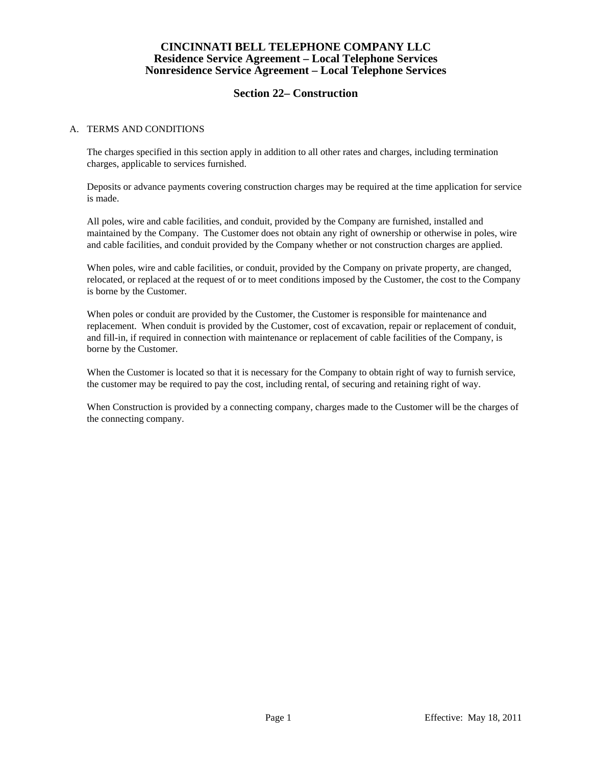# **Section 22– Construction**

#### A. TERMS AND CONDITIONS

 The charges specified in this section apply in addition to all other rates and charges, including termination charges, applicable to services furnished.

 Deposits or advance payments covering construction charges may be required at the time application for service is made.

 All poles, wire and cable facilities, and conduit, provided by the Company are furnished, installed and maintained by the Company. The Customer does not obtain any right of ownership or otherwise in poles, wire and cable facilities, and conduit provided by the Company whether or not construction charges are applied.

 When poles, wire and cable facilities, or conduit, provided by the Company on private property, are changed, relocated, or replaced at the request of or to meet conditions imposed by the Customer, the cost to the Company is borne by the Customer.

 When poles or conduit are provided by the Customer, the Customer is responsible for maintenance and replacement. When conduit is provided by the Customer, cost of excavation, repair or replacement of conduit, and fill-in, if required in connection with maintenance or replacement of cable facilities of the Company, is borne by the Customer.

 When the Customer is located so that it is necessary for the Company to obtain right of way to furnish service, the customer may be required to pay the cost, including rental, of securing and retaining right of way.

 When Construction is provided by a connecting company, charges made to the Customer will be the charges of the connecting company.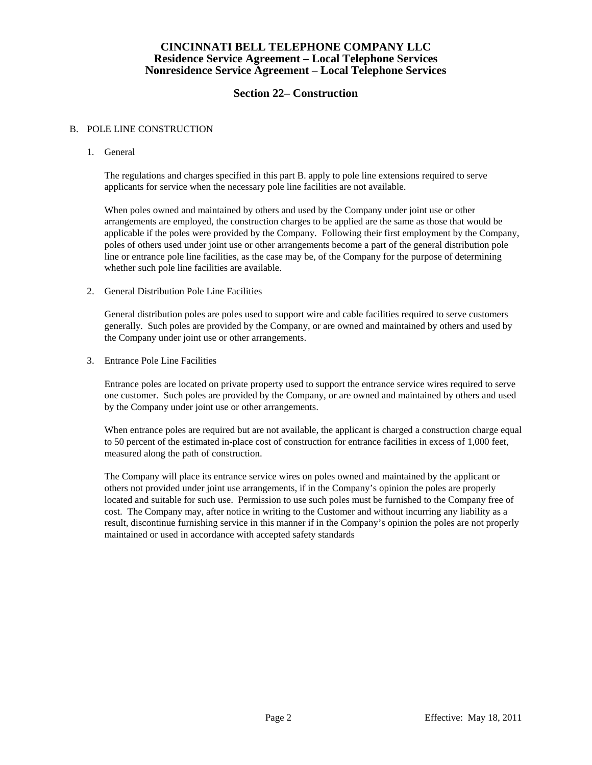# **Section 22– Construction**

#### B. POLE LINE CONSTRUCTION

1. General

 The regulations and charges specified in this part B. apply to pole line extensions required to serve applicants for service when the necessary pole line facilities are not available.

 When poles owned and maintained by others and used by the Company under joint use or other arrangements are employed, the construction charges to be applied are the same as those that would be applicable if the poles were provided by the Company. Following their first employment by the Company, poles of others used under joint use or other arrangements become a part of the general distribution pole line or entrance pole line facilities, as the case may be, of the Company for the purpose of determining whether such pole line facilities are available.

2. General Distribution Pole Line Facilities

 General distribution poles are poles used to support wire and cable facilities required to serve customers generally. Such poles are provided by the Company, or are owned and maintained by others and used by the Company under joint use or other arrangements.

3. Entrance Pole Line Facilities

 Entrance poles are located on private property used to support the entrance service wires required to serve one customer. Such poles are provided by the Company, or are owned and maintained by others and used by the Company under joint use or other arrangements.

 When entrance poles are required but are not available, the applicant is charged a construction charge equal to 50 percent of the estimated in-place cost of construction for entrance facilities in excess of 1,000 feet, measured along the path of construction.

 The Company will place its entrance service wires on poles owned and maintained by the applicant or others not provided under joint use arrangements, if in the Company's opinion the poles are properly located and suitable for such use. Permission to use such poles must be furnished to the Company free of cost. The Company may, after notice in writing to the Customer and without incurring any liability as a result, discontinue furnishing service in this manner if in the Company's opinion the poles are not properly maintained or used in accordance with accepted safety standards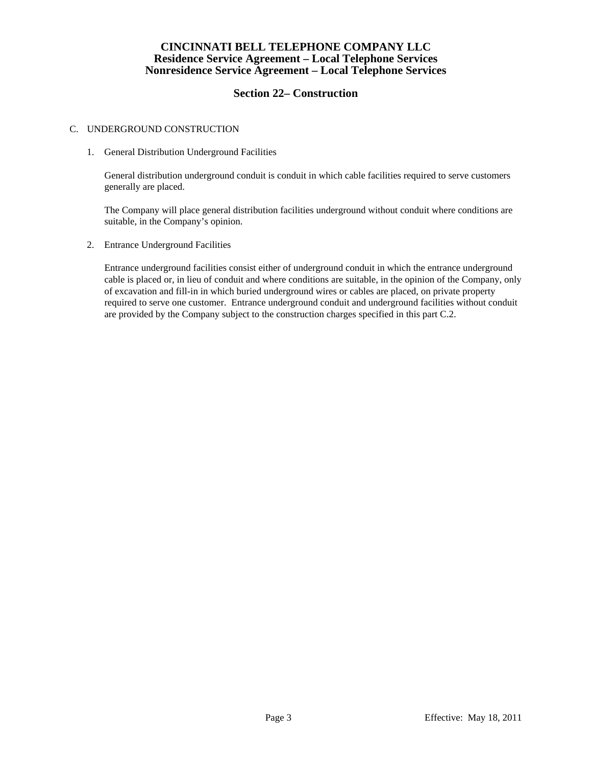# **Section 22– Construction**

#### C. UNDERGROUND CONSTRUCTION

1. General Distribution Underground Facilities

 General distribution underground conduit is conduit in which cable facilities required to serve customers generally are placed.

 The Company will place general distribution facilities underground without conduit where conditions are suitable, in the Company's opinion.

2. Entrance Underground Facilities

 Entrance underground facilities consist either of underground conduit in which the entrance underground cable is placed or, in lieu of conduit and where conditions are suitable, in the opinion of the Company, only of excavation and fill-in in which buried underground wires or cables are placed, on private property required to serve one customer. Entrance underground conduit and underground facilities without conduit are provided by the Company subject to the construction charges specified in this part C.2.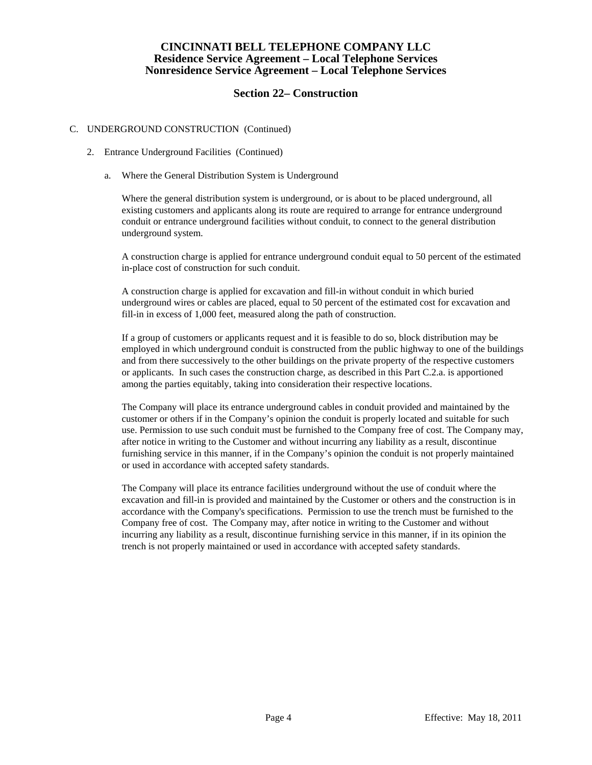## **Section 22– Construction**

#### C. UNDERGROUND CONSTRUCTION (Continued)

- 2. Entrance Underground Facilities (Continued)
	- a. Where the General Distribution System is Underground

 Where the general distribution system is underground, or is about to be placed underground, all existing customers and applicants along its route are required to arrange for entrance underground conduit or entrance underground facilities without conduit, to connect to the general distribution underground system.

 A construction charge is applied for entrance underground conduit equal to 50 percent of the estimated in-place cost of construction for such conduit.

 A construction charge is applied for excavation and fill-in without conduit in which buried underground wires or cables are placed, equal to 50 percent of the estimated cost for excavation and fill-in in excess of 1,000 feet, measured along the path of construction.

 If a group of customers or applicants request and it is feasible to do so, block distribution may be employed in which underground conduit is constructed from the public highway to one of the buildings and from there successively to the other buildings on the private property of the respective customers or applicants. In such cases the construction charge, as described in this Part C.2.a. is apportioned among the parties equitably, taking into consideration their respective locations.

 The Company will place its entrance underground cables in conduit provided and maintained by the customer or others if in the Company's opinion the conduit is properly located and suitable for such use. Permission to use such conduit must be furnished to the Company free of cost. The Company may, after notice in writing to the Customer and without incurring any liability as a result, discontinue furnishing service in this manner, if in the Company's opinion the conduit is not properly maintained or used in accordance with accepted safety standards.

 The Company will place its entrance facilities underground without the use of conduit where the excavation and fill-in is provided and maintained by the Customer or others and the construction is in accordance with the Company's specifications. Permission to use the trench must be furnished to the Company free of cost. The Company may, after notice in writing to the Customer and without incurring any liability as a result, discontinue furnishing service in this manner, if in its opinion the trench is not properly maintained or used in accordance with accepted safety standards.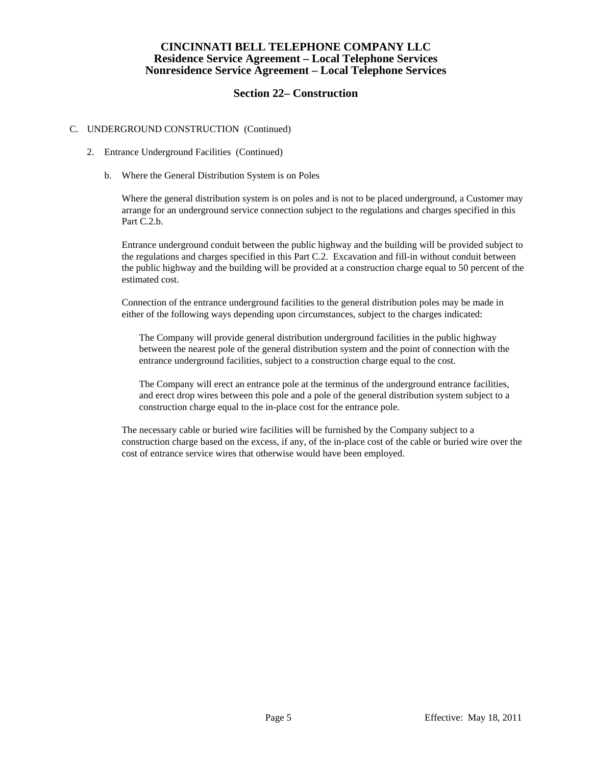# **Section 22– Construction**

### C. UNDERGROUND CONSTRUCTION (Continued)

- 2. Entrance Underground Facilities (Continued)
	- b. Where the General Distribution System is on Poles

 Where the general distribution system is on poles and is not to be placed underground, a Customer may arrange for an underground service connection subject to the regulations and charges specified in this Part C.2.b.

 Entrance underground conduit between the public highway and the building will be provided subject to the regulations and charges specified in this Part C.2. Excavation and fill-in without conduit between the public highway and the building will be provided at a construction charge equal to 50 percent of the estimated cost.

 Connection of the entrance underground facilities to the general distribution poles may be made in either of the following ways depending upon circumstances, subject to the charges indicated:

 The Company will provide general distribution underground facilities in the public highway between the nearest pole of the general distribution system and the point of connection with the entrance underground facilities, subject to a construction charge equal to the cost.

 The Company will erect an entrance pole at the terminus of the underground entrance facilities, and erect drop wires between this pole and a pole of the general distribution system subject to a construction charge equal to the in-place cost for the entrance pole.

 The necessary cable or buried wire facilities will be furnished by the Company subject to a construction charge based on the excess, if any, of the in-place cost of the cable or buried wire over the cost of entrance service wires that otherwise would have been employed.